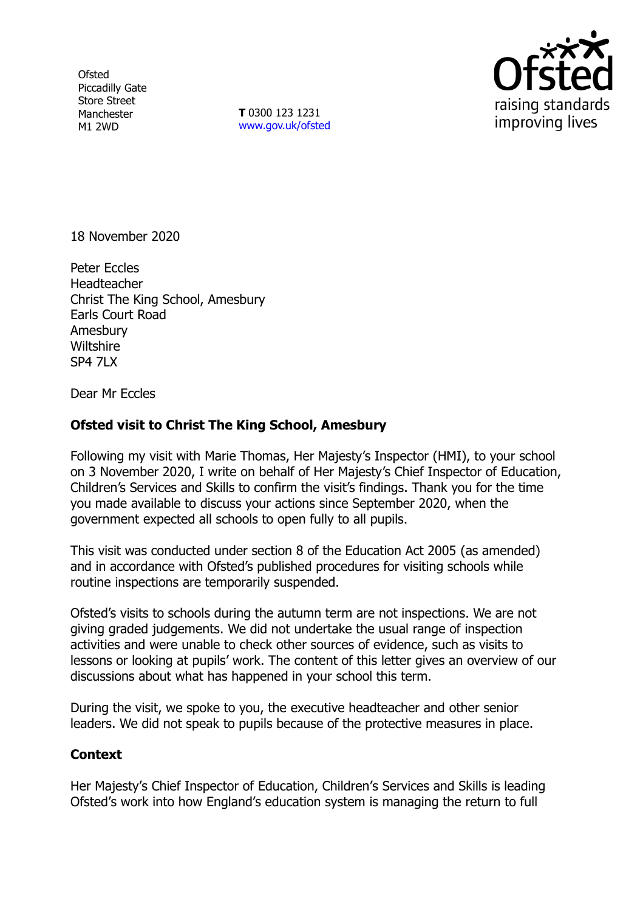**Ofsted** Piccadilly Gate Store Street Manchester M1 2WD

**T** 0300 123 1231 [www.gov.uk/ofsted](http://www.gov.uk/ofsted)



18 November 2020

Peter Eccles **Headteacher** Christ The King School, Amesbury Earls Court Road Amesbury **Wiltshire** SP4 7LX

Dear Mr Eccles

## **Ofsted visit to Christ The King School, Amesbury**

Following my visit with Marie Thomas, Her Majesty's Inspector (HMI), to your school on 3 November 2020, I write on behalf of Her Majesty's Chief Inspector of Education, Children's Services and Skills to confirm the visit's findings. Thank you for the time you made available to discuss your actions since September 2020, when the government expected all schools to open fully to all pupils.

This visit was conducted under section 8 of the Education Act 2005 (as amended) and in accordance with Ofsted's published procedures for visiting schools while routine inspections are temporarily suspended.

Ofsted's visits to schools during the autumn term are not inspections. We are not giving graded judgements. We did not undertake the usual range of inspection activities and were unable to check other sources of evidence, such as visits to lessons or looking at pupils' work. The content of this letter gives an overview of our discussions about what has happened in your school this term.

During the visit, we spoke to you, the executive headteacher and other senior leaders. We did not speak to pupils because of the protective measures in place.

## **Context**

Her Majesty's Chief Inspector of Education, Children's Services and Skills is leading Ofsted's work into how England's education system is managing the return to full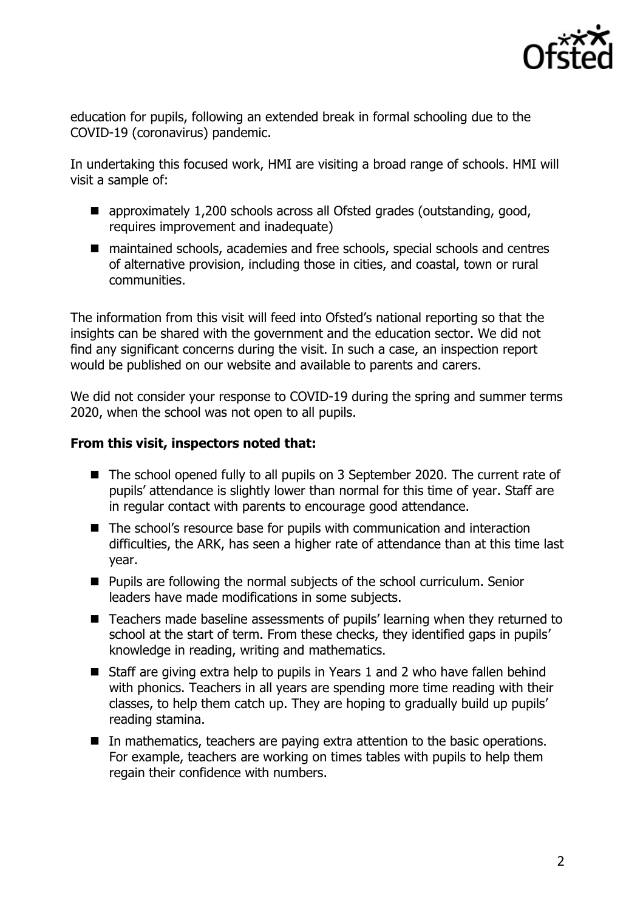

education for pupils, following an extended break in formal schooling due to the COVID-19 (coronavirus) pandemic.

In undertaking this focused work, HMI are visiting a broad range of schools. HMI will visit a sample of:

- approximately 1,200 schools across all Ofsted grades (outstanding, good, requires improvement and inadequate)
- maintained schools, academies and free schools, special schools and centres of alternative provision, including those in cities, and coastal, town or rural communities.

The information from this visit will feed into Ofsted's national reporting so that the insights can be shared with the government and the education sector. We did not find any significant concerns during the visit. In such a case, an inspection report would be published on our website and available to parents and carers.

We did not consider your response to COVID-19 during the spring and summer terms 2020, when the school was not open to all pupils.

## **From this visit, inspectors noted that:**

- The school opened fully to all pupils on 3 September 2020. The current rate of pupils' attendance is slightly lower than normal for this time of year. Staff are in regular contact with parents to encourage good attendance.
- The school's resource base for pupils with communication and interaction difficulties, the ARK, has seen a higher rate of attendance than at this time last year.
- Pupils are following the normal subjects of the school curriculum. Senior leaders have made modifications in some subjects.
- Teachers made baseline assessments of pupils' learning when they returned to school at the start of term. From these checks, they identified gaps in pupils' knowledge in reading, writing and mathematics.
- Staff are giving extra help to pupils in Years 1 and 2 who have fallen behind with phonics. Teachers in all years are spending more time reading with their classes, to help them catch up. They are hoping to gradually build up pupils' reading stamina.
- In mathematics, teachers are paying extra attention to the basic operations. For example, teachers are working on times tables with pupils to help them regain their confidence with numbers.